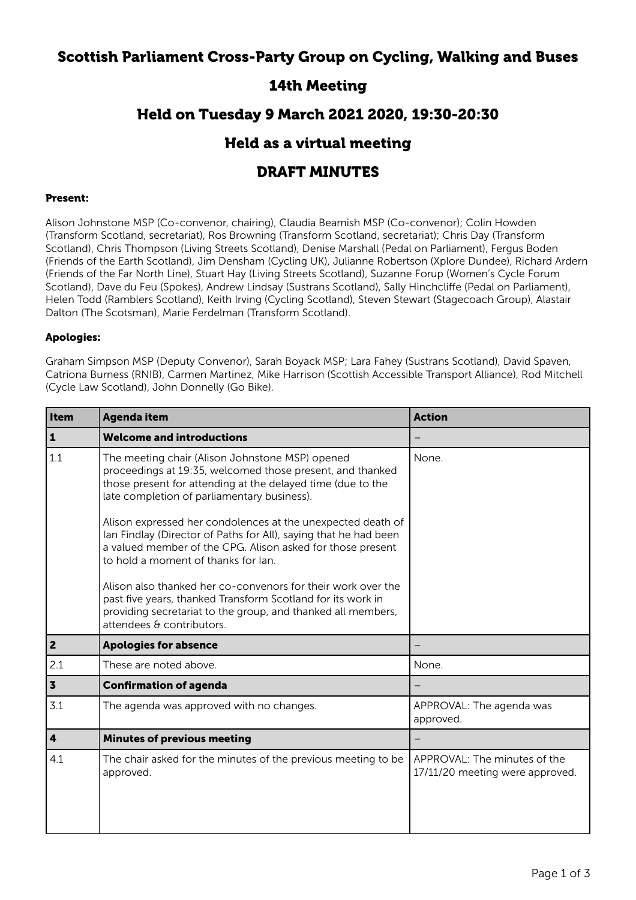## Scottish Parliament Cross-Party Group on Cycling, Walking and Buses

# 14th Meeting

### Held on Tuesday 9 March 2021 2020, 19:30-20:30

### Held as a virtual meeting

# DRAFT MINUTES

#### Present:

Alison Johnstone MSP (Co-convenor, chairing), Claudia Beamish MSP (Co-convenor); Colin Howden (Transform Scotland, secretariat), Ros Browning (Transform Scotland, secretariat); Chris Day (Transform Scotland), Chris Thompson (Living Streets Scotland), Denise Marshall (Pedal on Parliament), Fergus Boden (Friends of the Earth Scotland), Jim Densham (Cycling UK), Julianne Robertson (Xplore Dundee), Richard Ardern (Friends of the Far North Line), Stuart Hay (Living Streets Scotland), Suzanne Forup (Women's Cycle Forum Scotland), Dave du Feu (Spokes), Andrew Lindsay (Sustrans Scotland), Sally Hinchcliffe (Pedal on Parliament), Helen Todd (Ramblers Scotland), Keith Irving (Cycling Scotland), Steven Stewart (Stagecoach Group), Alastair Dalton (The Scotsman), Marie Ferdelman (Transform Scotland).

#### Apologies:

Graham Simpson MSP (Deputy Convenor), Sarah Boyack MSP; Lara Fahey (Sustrans Scotland), David Spaven, Catriona Burness (RNIB), Carmen Martinez, Mike Harrison (Scottish Accessible Transport Alliance), Rod Mitchell (Cycle Law Scotland), John Donnelly (Go Bike).

| Item                    | <b>Agenda item</b>                                                                                                                                                                                                                                                                                                                                                                                                                                                                                                                                                                                                                                                                             | <b>Action</b>                                                   |
|-------------------------|------------------------------------------------------------------------------------------------------------------------------------------------------------------------------------------------------------------------------------------------------------------------------------------------------------------------------------------------------------------------------------------------------------------------------------------------------------------------------------------------------------------------------------------------------------------------------------------------------------------------------------------------------------------------------------------------|-----------------------------------------------------------------|
| $\vert$ 1               | <b>Welcome and introductions</b>                                                                                                                                                                                                                                                                                                                                                                                                                                                                                                                                                                                                                                                               |                                                                 |
| 1.1                     | The meeting chair (Alison Johnstone MSP) opened<br>proceedings at 19:35, welcomed those present, and thanked<br>those present for attending at the delayed time (due to the<br>late completion of parliamentary business).<br>Alison expressed her condolences at the unexpected death of<br>Ian Findlay (Director of Paths for All), saying that he had been<br>a valued member of the CPG. Alison asked for those present<br>to hold a moment of thanks for lan.<br>Alison also thanked her co-convenors for their work over the<br>past five years, thanked Transform Scotland for its work in<br>providing secretariat to the group, and thanked all members,<br>attendees & contributors. | None.                                                           |
| 2                       | <b>Apologies for absence</b>                                                                                                                                                                                                                                                                                                                                                                                                                                                                                                                                                                                                                                                                   |                                                                 |
| 2.1                     | These are noted above.                                                                                                                                                                                                                                                                                                                                                                                                                                                                                                                                                                                                                                                                         | None.                                                           |
| $\overline{\mathbf{3}}$ | <b>Confirmation of agenda</b>                                                                                                                                                                                                                                                                                                                                                                                                                                                                                                                                                                                                                                                                  |                                                                 |
| 3.1                     | The agenda was approved with no changes.                                                                                                                                                                                                                                                                                                                                                                                                                                                                                                                                                                                                                                                       | APPROVAL: The agenda was<br>approved.                           |
| 4                       | <b>Minutes of previous meeting</b>                                                                                                                                                                                                                                                                                                                                                                                                                                                                                                                                                                                                                                                             |                                                                 |
| 4.1                     | The chair asked for the minutes of the previous meeting to be<br>approved.                                                                                                                                                                                                                                                                                                                                                                                                                                                                                                                                                                                                                     | APPROVAL: The minutes of the<br>17/11/20 meeting were approved. |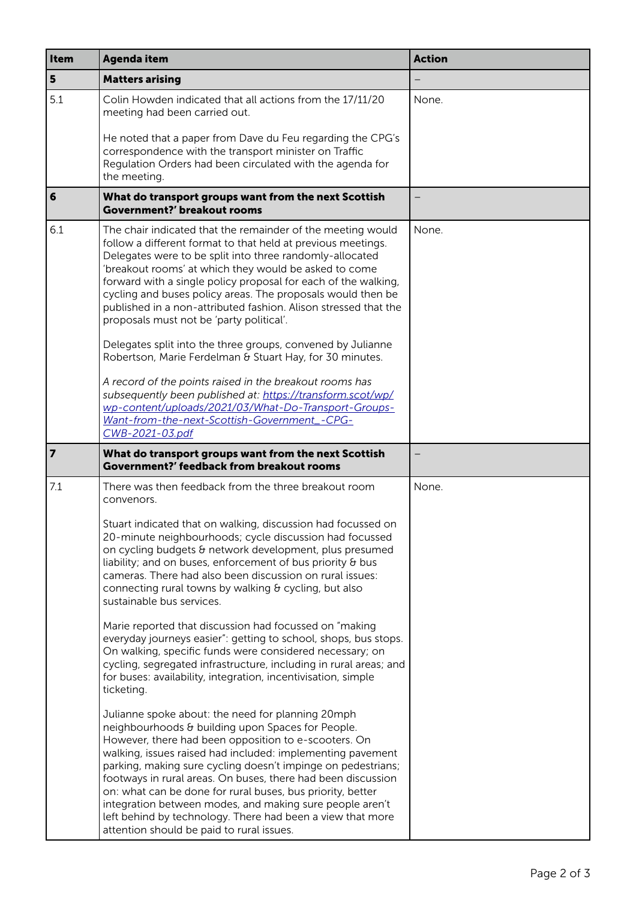| Item            | <b>Agenda item</b>                                                                                                                                                                                                                                                                                                                                                                                                                                                                                                                                                                                                                                                                                                                                                                                           | <b>Action</b> |
|-----------------|--------------------------------------------------------------------------------------------------------------------------------------------------------------------------------------------------------------------------------------------------------------------------------------------------------------------------------------------------------------------------------------------------------------------------------------------------------------------------------------------------------------------------------------------------------------------------------------------------------------------------------------------------------------------------------------------------------------------------------------------------------------------------------------------------------------|---------------|
| 5               | <b>Matters arising</b>                                                                                                                                                                                                                                                                                                                                                                                                                                                                                                                                                                                                                                                                                                                                                                                       |               |
| 5.1             | Colin Howden indicated that all actions from the 17/11/20<br>meeting had been carried out.                                                                                                                                                                                                                                                                                                                                                                                                                                                                                                                                                                                                                                                                                                                   | None.         |
|                 | He noted that a paper from Dave du Feu regarding the CPG's<br>correspondence with the transport minister on Traffic<br>Regulation Orders had been circulated with the agenda for<br>the meeting.                                                                                                                                                                                                                                                                                                                                                                                                                                                                                                                                                                                                             |               |
| $6\phantom{a}6$ | What do transport groups want from the next Scottish<br><b>Government?' breakout rooms</b>                                                                                                                                                                                                                                                                                                                                                                                                                                                                                                                                                                                                                                                                                                                   |               |
| 6.1             | The chair indicated that the remainder of the meeting would<br>follow a different format to that held at previous meetings.<br>Delegates were to be split into three randomly-allocated<br>'breakout rooms' at which they would be asked to come<br>forward with a single policy proposal for each of the walking,<br>cycling and buses policy areas. The proposals would then be<br>published in a non-attributed fashion. Alison stressed that the<br>proposals must not be 'party political'.<br>Delegates split into the three groups, convened by Julianne<br>Robertson, Marie Ferdelman & Stuart Hay, for 30 minutes.<br>A record of the points raised in the breakout rooms has<br>subsequently been published at: https://transform.scot/wp/<br>wp-content/uploads/2021/03/What-Do-Transport-Groups- | None.         |
|                 | Want-from-the-next-Scottish-Government_-CPG-<br>CWB-2021-03.pdf                                                                                                                                                                                                                                                                                                                                                                                                                                                                                                                                                                                                                                                                                                                                              |               |
| $\vert$ 7       | What do transport groups want from the next Scottish<br>Government?' feedback from breakout rooms                                                                                                                                                                                                                                                                                                                                                                                                                                                                                                                                                                                                                                                                                                            |               |
| 7.1             | There was then feedback from the three breakout room<br>convenors.                                                                                                                                                                                                                                                                                                                                                                                                                                                                                                                                                                                                                                                                                                                                           | None.         |
|                 | Stuart indicated that on walking, discussion had focussed on<br>20-minute neighbourhoods; cycle discussion had focussed<br>on cycling budgets & network development, plus presumed<br>liability; and on buses, enforcement of bus priority $\theta$ bus<br>cameras. There had also been discussion on rural issues:<br>connecting rural towns by walking & cycling, but also<br>sustainable bus services.                                                                                                                                                                                                                                                                                                                                                                                                    |               |
|                 | Marie reported that discussion had focussed on "making<br>everyday journeys easier": getting to school, shops, bus stops.<br>On walking, specific funds were considered necessary; on<br>cycling, segregated infrastructure, including in rural areas; and<br>for buses: availability, integration, incentivisation, simple<br>ticketing.                                                                                                                                                                                                                                                                                                                                                                                                                                                                    |               |
|                 | Julianne spoke about: the need for planning 20mph<br>neighbourhoods & building upon Spaces for People.<br>However, there had been opposition to e-scooters. On<br>walking, issues raised had included: implementing pavement<br>parking, making sure cycling doesn't impinge on pedestrians;<br>footways in rural areas. On buses, there had been discussion<br>on: what can be done for rural buses, bus priority, better<br>integration between modes, and making sure people aren't<br>left behind by technology. There had been a view that more<br>attention should be paid to rural issues.                                                                                                                                                                                                            |               |